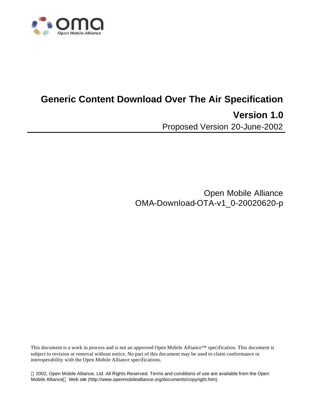

# **Generic Content Download Over The Air Specification Version 1.0** Proposed Version 20-June-2002

Open Mobile Alliance OMA-Download-OTA-v1\_0-20020620-p

This document is a work in process and is not an approved Open Mobile Alliance™ specification. This document is subject to revision or removal without notice. No part of this document may be used to claim conformance or interoperability with the Open Mobile Alliance specifications.

 2002, Open Mobile Alliance, Ltd. All Rights Reserved. Terms and conditions of use are available from the Open Mobile Alliance<sup>™</sup> Web site (http://www.openmobilealliance.org/documents/copyright.htm).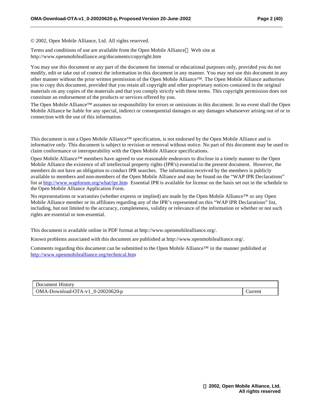© 2002, Open Mobile Alliance, Ltd. All rights reserved.

Terms and conditions of use are available from the Open Mobile Alliance™ Web site at http://www.openmobilealliance.org/documents/copyright.htm

You may use this document or any part of the document for internal or educational purposes only, provided you do not modify, edit or take out of context the information in this document in any manner. You may not use this document in any other manner without the prior written permission of the Open Mobile Alliance™. The Open Mobile Alliance authorises you to copy this document, provided that you retain all copyright and other proprietary notices contained in the original materials on any copies of the materials and that you comply strictly with these terms. This copyright permission does not constitute an endorsement of the products or services offered by you.

The Open Mobile Alliance™ assumes no responsibility for errors or omissions in this document. In no event shall the Open Mobile Alliance be liable for any special, indirect or consequential damages or any damages whatsoever arising out of or in connection with the use of this information*.*

This document is not a Open Mobile Alliance™ specification, is not endorsed by the Open Mobile Alliance and is informative only. This document is subject to revision or removal without notice. No part of this document may be used to claim conformance or interoperability with the Open Mobile Alliance specifications.

Open Mobile Alliance™ members have agreed to use reasonable endeavors to disclose in a timely manner to the Open Mobile Alliance the existence of all intellectual property rights (IPR's) essential to the present document. However, the members do not have an obligation to conduct IPR searches. The information received by the members is publicly available to members and non-members of the Open Mobile Alliance and may be found on the "WAP IPR Declarations" list at http://www.wapforum.org/what/ipr.htm Essential IPR is available for license on the basis set out in the schedule to the Open Mobile Alliance Application Form.

No representations or warranties (whether express or implied) are made by the Open Mobile Alliance™ or any Open Mobile Alliance member or its affiliates regarding any of the IPR's represented on this "WAP IPR Declarations" list, including, but not limited to the accuracy, completeness, validity or relevance of the information or whether or not such rights are essential or non-essential.

This document is available online in PDF format at http://www.openmobilealliance.org/.

Known problems associated with this document are published at http://www.openmobilealliance.org/.

Comments regarding this document can be submitted to the Open Mobile Alliance™ in the manner published at http://www.openmobilealliance.org/technical.htm.

| Document History                   |         |
|------------------------------------|---------|
| $OMA-Download-OTA-v1$ 0-20020620-p | Jurrent |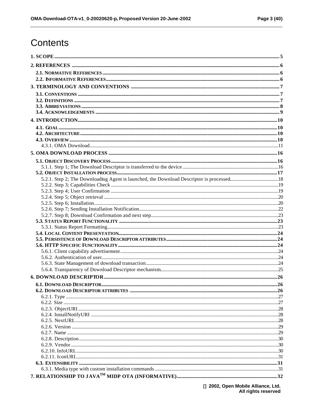## Contents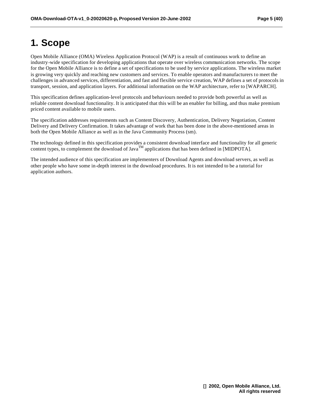## **1. Scope**

Open Mobile Alliance (OMA) Wireless Application Protocol (WAP) is a result of continuous work to define an industry-wide specification for developing applications that operate over wireless communication networks. The scope for the Open Mobile Alliance is to define a set of specifications to be used by service applications. The wireless market is growing very quickly and reaching new customers and services. To enable operators and manufacturers to meet the challenges in advanced services, differentiation, and fast and flexible service creation, WAP defines a set of protocols in transport, session, and application layers. For additional information on the WAP architecture, refer to [WAPARCH].

This specification defines application-level protocols and behaviours needed to provide both powerful as well as reliable content download functionality. It is anticipated that this will be an enabler for billing, and thus make premium priced content available to mobile users.

The specification addresses requirements such as Content Discovery, Authentication, Delivery Negotiation, Content Delivery and Delivery Confirmation. It takes advantage of work that has been done in the above-mentioned areas in both the Open Mobile Alliance as well as in the Java Community Process (sm).

The technology defined in this specification provides a consistent download interface and functionality for all generic content types, to complement the download of Java<sup>TM</sup> applications that has been defined in [MIDPOTA].

The intended audience of this specification are implementers of Download Agents and download servers, as well as other people who have some in-depth interest in the download procedures. It is not intended to be a tutorial for application authors.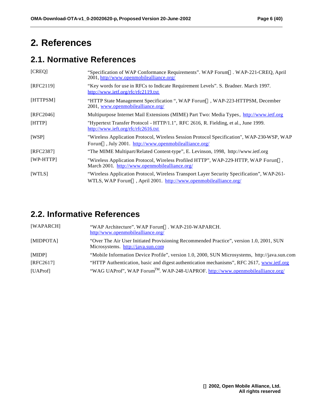## **2. References**

## **2.1. Normative References**

| [CREQ]             | "Specification of WAP Conformance Requirements". WAP Forum <sup>TM</sup> . WAP-221-CREQ, April<br>2001, http//www.openmobilealliance.org/                                   |
|--------------------|-----------------------------------------------------------------------------------------------------------------------------------------------------------------------------|
| [RFC2119]          | "Key words for use in RFCs to Indicate Requirement Levels". S. Bradner. March 1997.<br>http://www.ietf.org/rfc/rfc2119.txt                                                  |
| [HTTPSM]           | "HTTP State Management Specification ", WAP Forum <sup>™</sup> , WAP-223-HTTPSM, December<br>2001, www.openmobilealliance.org/                                              |
| [RFC2046]          | Multipurpose Internet Mail Extensions (MIME) Part Two: Media Types, http://www.ietf.org                                                                                     |
| [HTTP]             | "Hypertext Transfer Protocol - HTTP/1.1", RFC 2616, R. Fielding, et al., June 1999.<br>http://www.ieft.org/rfc/rfc2616.txt                                                  |
| [WSP]              | "Wireless Application Protocol, Wireless Session Protocol Specification", WAP-230-WSP, WAP<br>Forum <sup>™</sup> , July 2001. http://www.openmobilealliance.org/            |
| [RFC2387]          | "The MIME Multipart/Related Content-type", E. Levinson, 1998, http://www.ietf.org                                                                                           |
| $[WP\text{-}HTTP]$ | "Wireless Application Protocol, Wireless Profiled HTTP", WAP-229-HTTP, WAP Forum <sup>TM</sup> ,<br>March 2001. http://www.openmobilealliance.org/                          |
| <b>[WTLS]</b>      | "Wireless Application Protocol, Wireless Transport Layer Security Specification", WAP-261-<br>WTLS, WAP Forum <sup>™</sup> , April 2001. http://www.openmobilealliance.org/ |

## **2.2. Informative References**

| [WAPARCH] | "WAP Architecture". WAP Forum <sup>TM</sup> . WAP-210-WAPARCH.<br>http//www.openmobilealliance.org/                          |
|-----------|------------------------------------------------------------------------------------------------------------------------------|
| [MIDPOTA] | "Over The Air User Initiated Provisioning Recommended Practice", version 1.0, 2001, SUN<br>Microsystems. http://java.sun.com |
| [MIDP]    | "Mobile Information Device Profile", version 1.0, 2000, SUN Microsystems, http://java.sun.com                                |
| [RFC2617] | "HTTP Authentication, basic and digest authentication mechanisms", RFC 2617, www.ietf.org                                    |
| [UAProf]  | "WAG UAProf", WAP Forum <sup>TM</sup> . WAP-248-UAPROF. http://www.openmobilealliance.org/                                   |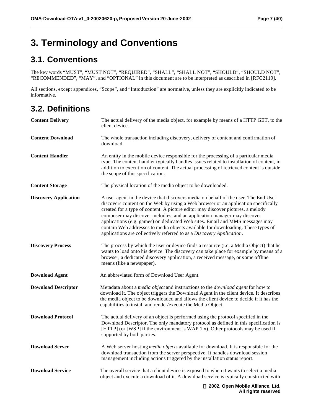## **3. Terminology and Conventions**

## **3.1. Conventions**

The key words "MUST", "MUST NOT", "REQUIRED", "SHALL", "SHALL NOT", "SHOULD", "SHOULD NOT", "RECOMMENDED", "MAY", and "OPTIONAL" in this document are to be interpreted as described in [RFC2119].

All sections, except appendices, "Scope", and "Introduction" are normative, unless they are explicitly indicated to be informative.

## **3.2. Definitions**

| <b>Content Delivery</b>      | The actual delivery of the media object, for example by means of a HTTP GET, to the<br>client device.                                                                                                                                                                                                                                                                                                                                                                                                                                                                                |
|------------------------------|--------------------------------------------------------------------------------------------------------------------------------------------------------------------------------------------------------------------------------------------------------------------------------------------------------------------------------------------------------------------------------------------------------------------------------------------------------------------------------------------------------------------------------------------------------------------------------------|
| <b>Content Download</b>      | The whole transaction including discovery, delivery of content and confirmation of<br>download.                                                                                                                                                                                                                                                                                                                                                                                                                                                                                      |
| <b>Content Handler</b>       | An entity in the mobile device responsible for the processing of a particular media<br>type. The content handler typically handles issues related to installation of content, in<br>addition to execution of content. The actual processing of retrieved content is outside<br>the scope of this specification.                                                                                                                                                                                                                                                                      |
| <b>Content Storage</b>       | The physical location of the media object to be downloaded.                                                                                                                                                                                                                                                                                                                                                                                                                                                                                                                          |
| <b>Discovery Application</b> | A user agent in the device that discovers media on behalf of the user. The End User<br>discovers content on the Web by using a Web browser or an application specifically<br>created for a type of content. A picture editor may discover pictures, a melody<br>composer may discover melodies, and an application manager may discover<br>applications (e.g. games) on dedicated Web sites. Email and MMS messages may<br>contain Web addresses to media objects available for downloading. These types of<br>applications are collectively referred to as a Discovery Application. |
| <b>Discovery Process</b>     | The process by which the user or device finds a resource (i.e. a Media Object) that he<br>wants to load onto his device. The discovery can take place for example by means of a<br>browser, a dedicated discovery application, a received message, or some offline<br>means (like a newspaper).                                                                                                                                                                                                                                                                                      |
| <b>Download Agent</b>        | An abbreviated form of Download User Agent.                                                                                                                                                                                                                                                                                                                                                                                                                                                                                                                                          |
| <b>Download Descriptor</b>   | Metadata about a <i>media object</i> and instructions to the <i>download agent</i> for how to<br>download it. The object triggers the Download Agent in the client device. It describes<br>the media object to be downloaded and allows the client device to decide if it has the<br>capabilities to install and render/execute the Media Object.                                                                                                                                                                                                                                    |
| <b>Download Protocol</b>     | The actual delivery of an object is performed using the protocol specified in the<br>Download Descriptor. The only mandatory protocol as defined in this specification is<br>[HTTP] (or [WSP] if the environment is WAP 1.x). Other protocols may be used if<br>supported by both parties.                                                                                                                                                                                                                                                                                           |
| <b>Download Server</b>       | A Web server hosting <i>media objects</i> available for download. It is responsible for the<br>download transaction from the server perspective. It handles download session<br>management including actions triggered by the installation status report.                                                                                                                                                                                                                                                                                                                            |
| <b>Download Service</b>      | The overall service that a client device is exposed to when it wants to select a media<br>object and execute a download of it. A download service is typically constructed with                                                                                                                                                                                                                                                                                                                                                                                                      |
|                              | n 2002 Onen Mobile Alliance Ltd                                                                                                                                                                                                                                                                                                                                                                                                                                                                                                                                                      |

**J** 2002, Open Mobile Alliance, I **All rights reserved**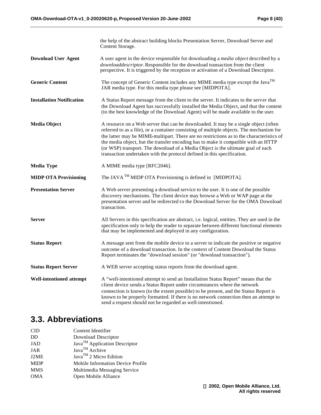|                                  | the help of the abstract building blocks Presentation Server, Download Server and<br>Content Storage.                                                                                                                                                                                                                                                                                                                                                                                                                           |  |  |
|----------------------------------|---------------------------------------------------------------------------------------------------------------------------------------------------------------------------------------------------------------------------------------------------------------------------------------------------------------------------------------------------------------------------------------------------------------------------------------------------------------------------------------------------------------------------------|--|--|
| <b>Download User Agent</b>       | A user agent in the device responsible for downloading a <i>media object</i> described by a<br>downloaddescriptor. Responsible for the download transaction from the client<br>perspective. It is triggered by the reception or activation of a Download Descriptor.                                                                                                                                                                                                                                                            |  |  |
| <b>Generic Content</b>           | The concept of Generic Content includes any MIME media type except the Java <sup>TM</sup><br>JAR media type. For this media type please see [MIDPOTA].                                                                                                                                                                                                                                                                                                                                                                          |  |  |
| <b>Installation Notification</b> | A Status Report message from the client to the server. It indicates to the server that<br>the Download Agent has successfully installed the Media Object, and that the content<br>(to the best knowledge of the Download Agent) will be made available to the user.                                                                                                                                                                                                                                                             |  |  |
| <b>Media Object</b>              | A resource on a Web server that can be downloaded. It may be a single object (often<br>referred to as a file), or a container consisting of multiple objects. The mechanism for<br>the latter may be MIME-multipart. There are no restrictions as to the characteristics of<br>the media object, but the transfer encoding has to make it compatible with an HTTP<br>(or WSP) transport. The download of a Media Object is the ultimate goal of each<br>transaction undertaken with the protocol defined in this specification. |  |  |
| <b>Media Type</b>                | A MIME media type [RFC2046].                                                                                                                                                                                                                                                                                                                                                                                                                                                                                                    |  |  |
| <b>MIDP OTA Provisioning</b>     | The JAVA <sup>TM</sup> MIDP OTA Provisioning is defined in [MIDPOTA].                                                                                                                                                                                                                                                                                                                                                                                                                                                           |  |  |
| <b>Presentation Server</b>       | A Web server presenting a download service to the user. It is one of the possible<br>discovery mechanisms. The client device may browse a Web or WAP page at the<br>presentation server and be redirected to the Download Server for the OMA Download<br>transaction.                                                                                                                                                                                                                                                           |  |  |
| Server                           | All Servers in this specification are abstract, <i>i.e.</i> logical, entities. They are used in the<br>specification only to help the reader to separate between different functional elements<br>that may be implemented and deployed in any configuration.                                                                                                                                                                                                                                                                    |  |  |
| <b>Status Report</b>             | A message sent from the mobile device to a server to indicate the positive or negative<br>outcome of a download transaction. In the context of Content Download the Status<br>Report terminates the "download session" (or "download transaction").                                                                                                                                                                                                                                                                             |  |  |
| <b>Status Report Server</b>      | A WEB server accepting status reports from the download agent.                                                                                                                                                                                                                                                                                                                                                                                                                                                                  |  |  |
| Well-intentioned attempt         | A "well-intentioned attempt to send an Installation Status Report" means that the<br>client device sends a Status Report under circumstances where the network<br>connection is known (to the extent possible) to be present, and the Status Report is<br>known to be properly formatted. If there is no network connection then an attempt to<br>send a request should not be regarded as well-intentioned.                                                                                                                    |  |  |

## **3.3. Abbreviations**

| Content Identifier                        |
|-------------------------------------------|
| Download Descriptor                       |
| Java <sup>TM</sup> Application Descriptor |
| Java <sup>TM</sup> Archive                |
| $Java^{TM}$ 2 Micro Edition               |
| <b>Mobile Information Device Profile</b>  |
| Multimedia Messaging Service              |
| Open Mobile Alliance                      |
|                                           |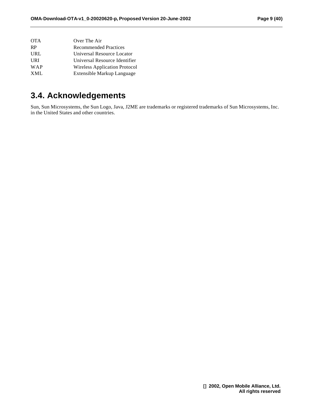| <b>OTA</b> | Over The Air                         |
|------------|--------------------------------------|
| <b>RP</b>  | <b>Recommended Practices</b>         |
| URL        | Universal Resource Locator           |
| URI        | Universal Resource Identifier        |
| WAP        | <b>Wireless Application Protocol</b> |
| XML        | Extensible Markup Language           |
|            |                                      |

## **3.4. Acknowledgements**

Sun, Sun Microsystems, the Sun Logo, Java, J2ME are trademarks or registered trademarks of Sun Microsystems, Inc. in the United States and other countries.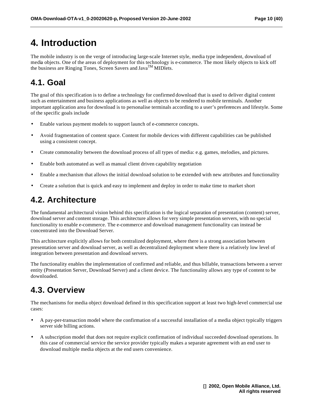## **4. Introduction**

The mobile industry is on the verge of introducing large-scale Internet style, media type independent, download of media objects. One of the areas of deployment for this technology is e-commerce. The most likely objects to kick off the business are Ringing Tones, Screen Savers and Java<sup>TM</sup> MIDlets.

## **4.1. Goal**

The goal of this specification is to define a technology for confirmed download that is used to deliver digital content such as entertainment and business applications as well as objects to be rendered to mobile terminals. Another important application area for download is to personalise terminals according to a user's preferences and lifestyle. Some of the specific goals include

- Enable various payment models to support launch of e-commerce concepts.
- Avoid fragmentation of content space. Content for mobile devices with different capabilities can be published using a consistent concept.
- Create commonality between the download process of all types of media: e.g. games, melodies, and pictures.
- Enable both automated as well as manual client driven capability negotiation
- Enable a mechanism that allows the initial download solution to be extended with new attributes and functionality
- Create a solution that is quick and easy to implement and deploy in order to make time to market short

## **4.2. Architecture**

The fundamental architectural vision behind this specification is the logical separation of presentation (content) server, download server and content storage. This architecture allows for very simple presentation servers, with no special functionality to enable e-commerce. The e-commerce and download management functionality can instead be concentrated into the Download Server.

This architecture explicitly allows for both centralized deployment, where there is a strong association between presentation server and download server, as well as decentralized deployment where there is a relatively low level of integration between presentation and download servers.

The functionality enables the implementation of confirmed and reliable, and thus billable, transactions between a server entity (Presentation Server, Download Server) and a client device. The functionality allows any type of content to be downloaded.

## **4.3. Overview**

The mechanisms for media object download defined in this specification support at least two high-level commercial use cases:

- A pay-per-transaction model where the confirmation of a successful installation of a media object typically triggers server side billing actions.
- A subscription model that does not require explicit confirmation of individual succeeded download operations. In this case of commercial service the service provider typically makes a separate agreement with an end user to download multiple media objects at the end users convenience.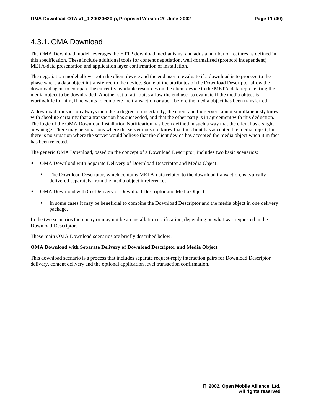#### 4.3.1. OMA Download

The OMA Download model leverages the HTTP download mechanisms, and adds a number of features as defined in this specification. These include additional tools for content negotiation, well-formalised (protocol independent) META-data presentation and application layer confirmation of installation.

The negotiation model allows both the client device and the end user to evaluate if a download is to proceed to the phase where a data object it transferred to the device. Some of the attributes of the Download Descriptor allow the download agent to compare the currently available resources on the client device to the META-data representing the media object to be downloaded. Another set of attributes allow the end user to evaluate if the media object is worthwhile for him, if he wants to complete the transaction or abort before the media object has been transferred.

A download transaction always includes a degree of uncertainty, the client and the server cannot simultaneously know with absolute certainty that a transaction has succeeded, and that the other party is in agreement with this deduction. The logic of the OMA Download Installation Notification has been defined in such a way that the client has a slight advantage. There may be situations where the server does not know that the client has accepted the media object, but there is no situation where the server would believe that the client device has accepted the media object when it in fact has been rejected.

The generic OMA Download, based on the concept of a Download Descriptor, includes two basic scenarios:

- OMA Download with Separate Delivery of Download Descriptor and Media Object.
	- The Download Descriptor, which contains META-data related to the download transaction, is typically delivered separately from the media object it references.
- OMA Download with Co-Delivery of Download Descriptor and Media Object
	- In some cases it may be beneficial to combine the Download Descriptor and the media object in one delivery package.

In the two scenarios there may or may not be an installation notification, depending on what was requested in the Download Descriptor.

These main OMA Download scenarios are briefly described below.

#### **OMA Download with Separate Delivery of Download Descriptor and Media Object**

This download scenario is a process that includes separate request-reply interaction pairs for Download Descriptor delivery, content delivery and the optional application level transaction confirmation.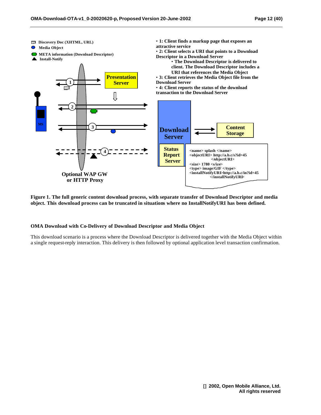

**Figure 1. The full generic content download process, with separate transfer of Download Descriptor and media object. This download process can be truncated in situations where no InstallNotifyURI has been defined.** 

#### **OMA Download with Co-Delivery of Download Descriptor and Media Object**

This download scenario is a process where the Download Descriptor is delivered together with the Media Object within a single request-reply interaction. This delivery is then followed by optional application level transaction confirmation.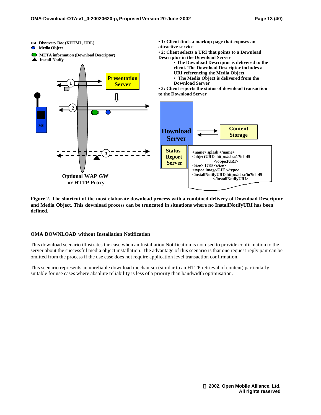

**Figure 2. The shortcut of the most elaborate download process with a combined delivery of Download Descriptor and Media Object. This download process can be truncated in situations where no InstallNotifyURI has been defined.** 

#### **OMA DOWNLOAD without Installation Notification**

This download scenario illustrates the case when an Installation Notification is not used to provide confirmation to the server about the successful media object installation. The advantage of this scenario is that one request-reply pair can be omitted from the process if the use case does not require application level transaction confirmation.

This scenario represents an unreliable download mechanism (similar to an HTTP retrieval of content) particularly suitable for use cases where absolute reliability is less of a priority than bandwidth optimisation.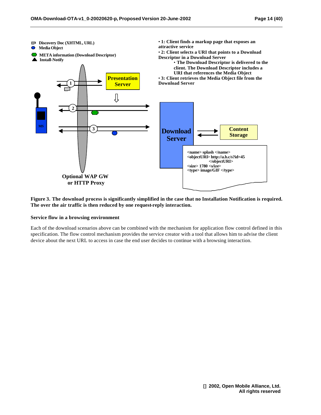

**Figure 3. The download process is significantly simplified in the case that no Installation Notification is required. The over the air traffic is then reduced by one request-reply interaction.**

#### **Service flow in a browsing environment**

Each of the download scenarios above can be combined with the mechanism for application flow control defined in this specification. The flow control mechanism provides the service creator with a tool that allows him to advise the client device about the next URL to access in case the end user decides to continue with a browsing interaction.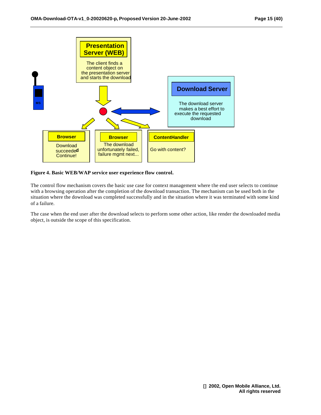

#### **Figure 4. Basic WEB/WAP service user experience flow control.**

The control flow mechanism covers the basic use case for context management where the end user selects to continue with a browsing operation after the completion of the download transaction. The mechanism can be used both in the situation where the download was completed successfully and in the situation where it was terminated with some kind of a failure.

The case when the end user after the download selects to perform some other action, like render the downloaded media object, is outside the scope of this specification.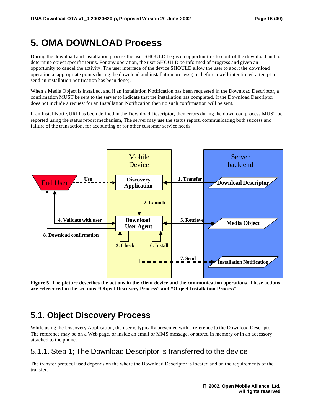## **5. OMA DOWNLOAD Process**

During the download and installation process the user SHOULD be given opportunities to control the download and to determine object specific terms. For any operation, the user SHOULD be informed of progress and given an opportunity to cancel the activity. The user interface of the device SHOULD allow the user to abort the download operation at appropriate points during the download and installation process (i.e. before a well-intentioned attempt to send an installation notification has been done).

When a Media Object is installed, and if an Installation Notification has been requested in the Download Descriptor, a confirmation MUST be sent to the server to indicate that the installation has completed. If the Download Descriptor does not include a request for an Installation Notification then no such confirmation will be sent.

If an InstallNotifyURI has been defined in the Download Descriptor, then errors during the download process MUST be reported using the status report mechanism, The server may use the status report, communicating both success and failure of the transaction, for accounting or for other customer service needs.



**Figure 5. The picture describes the actions in the client device and the communication operations. These actions are referenced in the sections "Object Discovery Process" and "Object Installation Process".**

## **5.1. Object Discovery Process**

While using the Discovery Application, the user is typically presented with a reference to the Download Descriptor. The reference may be on a Web page, or inside an email or MMS message, or stored in memory or in an accessory attached to the phone.

#### 5.1.1. Step 1; The Download Descriptor is transferred to the device

The transfer protocol used depends on the where the Download Descriptor is located and on the requirements of the transfer.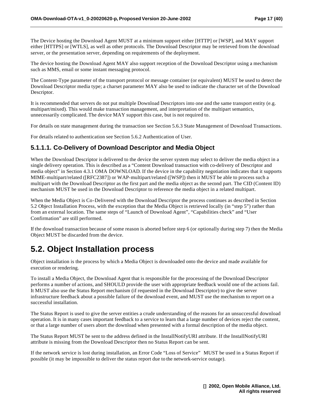The Device hosting the Download Agent MUST at a minimum support either [HTTP] or [WSP], and MAY support either [HTTPS] or [WTLS], as well as other protocols. The Download Descriptor may be retrieved from the download server, or the presentation server, depending on requirements of the deployment.

The device hosting the Download Agent MAY also support reception of the Download Descriptor using a mechanism such as MMS, email or some instant messaging protocol.

The Content-Type parameter of the transport protocol or message container (or equivalent) MUST be used to detect the Download Descriptor media type; a charset parameter MAY also be used to indicate the character set of the Download Descriptor.

It is recommended that servers do not put multiple Download Descriptors into one and the same transport entity (e.g. multipart/mixed). This would make transaction management, and interpretation of the multipart semantics, unnecessarily complicated. The device MAY support this case, but is not required to.

For details on state management during the transaction see Section 5.6.3 State Management of Download Transactions.

For details related to authentication see Section 5.6.2 Authentication of User.

#### **5.1.1.1. Co-Delivery of Download Descriptor and Media Object**

When the Download Descriptor is delivered to the device the server system may select to deliver the media object in a single delivery operation. This is described as a "Content Download transaction with co-delivery of Descriptor and media object" in Section 4.3.1 OMA DOWNLOAD. If the device in the capability negotiation indicates that it supports MIME-multipart/related ([RFC2387]) or WAP-multipart/related ([WSP]) then it MUST be able to process such a multipart with the Download Descriptor as the first part and the media object as the second part. The CID (Content ID) mechanism MUST be used in the Download Descriptor to reference the media object in a related multipart.

When the Media Object is Co-Delivered with the Download Descriptor the process continues as described in Section 5.2 Object Installation Process, with the exception that the Media Object is retrieved locally (in "step 5") rather than from an external location. The same steps of "Launch of Download Agent", "Capabilities check" and "User Confirmation" are still performed.

If the download transaction because of some reason is aborted before step 6 (or optionally during step 7) then the Media Object MUST be discarded from the device.

## **5.2. Object Installation process**

Object installation is the process by which a Media Object is downloaded onto the device and made available for execution or rendering.

To install a Media Object, the Download Agent that is responsible for the processing of the Download Descriptor performs a number of actions, and SHOULD provide the user with appropriate feedback would one of the actions fail. It MUST also use the Status Report mechanism (if requested in the Download Descriptor) to give the server infrastructure feedback about a possible failure of the download event, and MUST use the mechanism to report on a successful installation.

The Status Report is used to give the server entities a crude understanding of the reasons for an unsuccessful download operation. It is in many cases important feedback to a service to learn that a large number of devices reject the content, or that a large number of users abort the download when presented with a formal description of the media object.

The Status Report MUST be sent to the address defined in the InstallNotifyURI attribute. If the InstallNotifyURI attribute is missing from the Download Descriptor then no Status Report can be sent.

If the network service is lost during installation, an Error Code "Loss of Service" MUST be used in a Status Report if possible (it may be impossible to deliver the status report due to the network-service outage).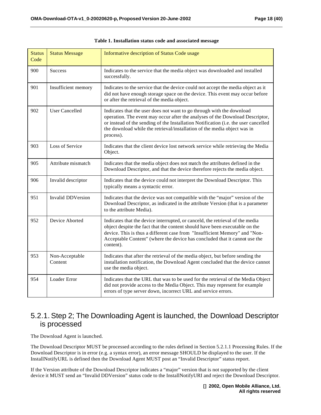| <b>Status</b><br>Code | <b>Status Message</b>     | Informative description of Status Code usage                                                                                                                                                                                                                                                                                           |
|-----------------------|---------------------------|----------------------------------------------------------------------------------------------------------------------------------------------------------------------------------------------------------------------------------------------------------------------------------------------------------------------------------------|
| 900                   | <b>Success</b>            | Indicates to the service that the media object was downloaded and installed<br>successfully.                                                                                                                                                                                                                                           |
| 901                   | Insufficient memory       | Indicates to the service that the device could not accept the media object as it<br>did not have enough storage space on the device. This event may occur before<br>or after the retrieval of the media object.                                                                                                                        |
| 902                   | <b>User Cancelled</b>     | Indicates that the user does not want to go through with the download<br>operation. The event may occur after the analyses of the Download Descriptor,<br>or instead of the sending of the Installation Notification (i.e. the user cancelled<br>the download while the retrieval/installation of the media object was in<br>process). |
| 903                   | Loss of Service           | Indicates that the client device lost network service while retrieving the Media<br>Object.                                                                                                                                                                                                                                            |
| 905                   | Attribute mismatch        | Indicates that the media object does not match the attributes defined in the<br>Download Descriptor, and that the device therefore rejects the media object.                                                                                                                                                                           |
| 906                   | Invalid descriptor        | Indicates that the device could not interpret the Download Descriptor. This<br>typically means a syntactic error.                                                                                                                                                                                                                      |
| 951                   | <b>Invalid DDVersion</b>  | Indicates that the device was not compatible with the "major" version of the<br>Download Descriptor, as indicated in the attribute Version (that is a parameter<br>to the attribute Media).                                                                                                                                            |
| 952                   | Device Aborted            | Indicates that the device interrupted, or canceld, the retrieval of the media<br>object despite the fact that the content should have been executable on the<br>device. This is thus a different case from "Insufficient Memory" and "Non-<br>Acceptable Content" (where the device has concluded that it cannot use the<br>content).  |
| 953                   | Non-Acceptable<br>Content | Indicates that after the retrieval of the media object, but before sending the<br>installation notification, the Download Agent concluded that the device cannot<br>use the media object.                                                                                                                                              |
| 954                   | Loader Error              | Indicates that the URL that was to be used for the retrieval of the Media Object<br>did not provide access to the Media Object. This may represent for example<br>errors of type server down, incorrect URL and service errors.                                                                                                        |

|  | Table 1. Installation status code and associated message |  |  |  |  |
|--|----------------------------------------------------------|--|--|--|--|
|--|----------------------------------------------------------|--|--|--|--|

#### 5.2.1. Step 2; The Downloading Agent is launched, the Download Descriptor is processed

The Download Agent is launched.

The Download Descriptor MUST be processed according to the rules defined in Section 5.2.1.1 Processing Rules. If the Download Descriptor is in error (e.g. a syntax error), an error message SHOULD be displayed to the user. If the InstallNotifyURL is defined then the Download Agent MUST post an "Invalid Descriptor" status report.

If the Version attribute of the Download Descriptor indicates a "major" version that is not supported by the client device it MUST send an "Invalid DDVersion" status code to the InstallNotifyURI and reject the Download Descriptor.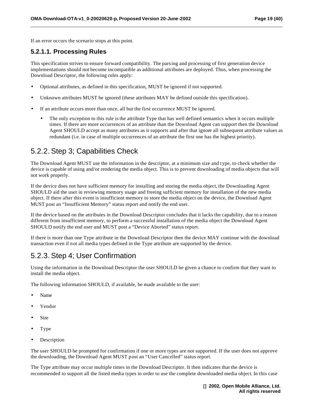If an error occurs the scenario stops at this point.

#### **5.2.1.1. Processing Rules**

This specification strives to ensure forward compatibility. The parsing and processing of first generation device implementations should not become incompatible as additional attributes are deployed. Thus, when processing the Download Descriptor, the following rules apply:

- Optional attributes, as defined in this specification, MUST be ignored if not supported.
- Unknown attributes MUST be ignored (these attributes MAY be defined outside this specification).
- If an attribute occurs more than once, all but the first occurrence MUST be ignored.
	- The only exception to this rule is the attribute Type that has well defined semantics when it occurs multiple times. If there are more occurrences of an attribute than the Download Agent can support then the Download Agent SHOULD accept as many attributes as it supports and after that ignore all subsequent attribute values as redundant (i.e. in case of multiple occurrences of an attribute the first one has the highest priority).

#### 5.2.2. Step 3; Capabilities Check

The Download Agent MUST use the information in the descriptor, at a minimum size and type, to check whether the device is capable of using and/or rendering the media object. This is to prevent downloading of media objects that will not work properly.

If the device does not have sufficient memory for installing and storing the media object, the Downloading Agent SHOULD aid the user in reviewing memory usage and freeing sufficient memory for installation of the new media object. If there after this event is insufficient memory to store the media object on the device, the Download Agent MUST post an "Insufficient Memory" status report and notify the end user.

If the device based on the attributes in the Download Descriptor concludes that it lacks the capability, due to a reason different from insufficient memory, to perform a successful installation of the media object the Download Agent SHOULD notify the end user and MUST post a "Device Aborted" status report.

If there is more than one Type attribute in the Download Descriptor then the device MAY continue with the download transaction even if not all media types defined in the Type attribute are supported by the device.

### 5.2.3. Step 4; User Confirmation

Using the information in the Download Descriptor the user SHOULD be given a chance to confirm that they want to install the media object.

The following information SHOULD, if available, be made available to the user:

- Name
- Vendor
- Size
- Type
- **Description**

The user SHOULD be prompted for confirmation if one or more types are not supported. If the user does not approve the downloading, the Download Agent MUST post an "User Cancelled" status report.

The Type attribute may occur multiple times in the Download Descriptor. It then indicates that the device is recommended to support all the listed media types in order to use the complete downloaded media object. In this case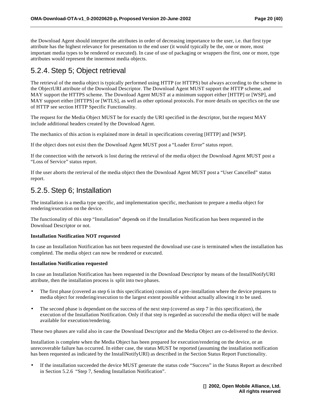the Download Agent should interpret the attributes in order of decreasing importance to the user, i.e. that first type attribute has the highest relevance for presentation to the end user (it would typically be the, one or more, most important media types to be rendered or executed). In case of use of packaging or wrappers the first, one or more, type attributes would represent the innermost media objects.

#### 5.2.4. Step 5; Object retrieval

The retrieval of the media object is typically performed using HTTP (or HTTPS) but always according to the scheme in the ObjectURI attribute of the Download Descriptor. The Download Agent MUST support the HTTP scheme, and MAY support the HTTPS scheme. The Download Agent MUST at a minimum support either [HTTP] or [WSP], and MAY support either [HTTPS] or [WTLS], as well as other optional protocols. For more details on specifics on the use of HTTP see section HTTP Specific Functionality.

The request for the Media Object MUST be for exactly the URI specified in the descriptor, but the request MAY include additional headers created by the Download Agent.

The mechanics of this action is explained more in detail in specifications covering [HTTP] and [WSP].

If the object does not exist then the Download Agent MUST post a "Loader Error" status report.

If the connection with the network is lost during the retrieval of the media object the Download Agent MUST post a "Loss of Service" status report.

If the user aborts the retrieval of the media object then the Download Agent MUST post a "User Cancelled" status report.

#### 5.2.5. Step 6; Installation

The installation is a media type specific, and implementation specific, mechanism to prepare a media object for rendering/execution on the device.

The functionality of this step "Installation" depends on if the Installation Notification has been requested in the Download Descriptor or not.

#### **Installation Notification NOT requested**

In case an Installation Notification has not been requested the download use case is terminated when the installation has completed. The media object can now be rendered or executed.

#### **Installation Notification requested**

In case an Installation Notification has been requested in the Download Descriptor by means of the InstallNotifyURI attribute, then the installation process is split into two phases.

- The first phase (covered as step 6 in this specification) consists of a pre-installation where the device prepares to media object for rendering/execution to the largest extent possible without actually allowing it to be used.
- The second phase is dependant on the success of the next step (covered as step 7 in this specification), the execution of the Installation Notification. Only if that step is regarded as successful the media object will be made available for execution/rendering.

These two phases are valid also in case the Download Descriptor and the Media Object are co-delivered to the device.

Installation is complete when the Media Object has been prepared for execution/rendering on the device, or an unrecoverable failure has occurred. In either case, the status MUST be reported (assuming the installation notification has been requested as indicated by the InstallNotifyURI) as described in the Section Status Report Functionality.

If the installation succeeded the device MUST generate the status code "Success" in the Status Report as described in Section 5.2.6 "Step 7, Sending Installation Notification".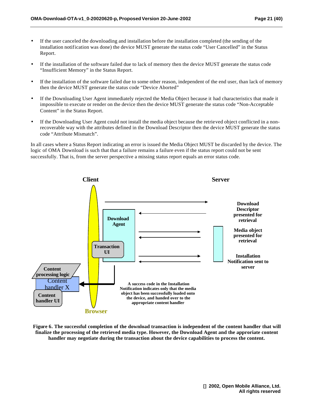- If the user canceled the downloading and installation before the installation completed (the sending of the installation notification was done) the device MUST generate the status code "User Cancelled" in the Status Report.
- If the installation of the software failed due to lack of memory then the device MUST generate the status code "Insufficient Memory" in the Status Report.
- If the installation of the software failed due to some other reason, independent of the end user, than lack of memory then the device MUST generate the status code "Device Aborted"
- If the Downloading User Agent immediately rejected the Media Object because it had characteristics that made it impossible to execute or render on the device then the device MUST generate the status code "Non-Acceptable Content" in the Status Report.
- If the Downloading User Agent could not install the media object because the retrieved object conflicted in a nonrecoverable way with the attributes defined in the Download Descriptor then the device MUST generate the status code "Attribute Mismatch".

In all cases where a Status Report indicating an error is issued the Media Object MUST be discarded by the device. The logic of OMA Download is such that that a failure remains a failure even if the status report could not be sent successfully. That is, from the server perspective a missing status report equals an error status code.



**Figure 6. The successful completion of the download transaction is independent of the content handler that will finalize the processing of the retrieved media type. However, the Download Agent and the approriate content handler may negotiate during the transaction about the device capabilities to process the content.**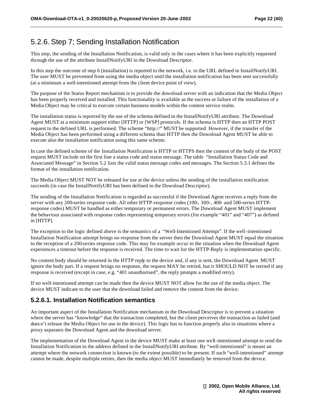#### 5.2.6. Step 7; Sending Installation Notification

This step, the sending of the Installation Notification, is valid only in the cases where it has been explicitly requested through the use of the attribute InstallNotifyURI in the Download Descriptor.

In this step the outcome of step 6 (installation) is reported to the network, i.e. to the URL defined in InstallNotifyURI. The user MUST be prevented from using the media object until the installation notification has been sent successfully (at a minimum a well-intentioned attempt from the client device point of view).

The purpose of the Status Report mechanism is to provide the download server with an indication that the Media Object has been properly received and installed. This functionality is available as the success or failure of the installation of a Media Object may be critical to execute certain business models within the content service realm.

The installation status is reported by the use of the schema defined in the InstallNotifyURI attribute. The Download Agent MUST at a minimum support either [HTTP] or [WSP] protocols. If the schema is HTTP then an HTTP POST request to the defined URL is performed. The scheme "http://" MUST be supported. However, if the transfer of the Media Object has been performed using a different schema than HTTP then the Download Agent MUST be able to execute also the installation notification using this same scheme.

In case the defined scheme of the Installation Notification is HTTP or HTTPS then the content of the body of the POST request MUST include on the first line a status code and status message. The table "Installation Status Code and Associated Message" in Section 5.2 lists the valid status message codes and messages. The Section 5.3.1 defines the format of the installation notification.

The Media Object MUST NOT be released for use at the device unless the sending of the installation notification succeeds (in case the InstallNotifyURI has been defined in the Download Descriptor).

The sending of the Installation Notification is regarded as successful if the Download Agent receives a reply from the server with any 200-series response code. All other HTTP-response codes (100-, 300-, 400- and 500-series HTTPresponse codes) MUST be handled as either temporary or permanent errors. The Download Agent MUST implement the behaviour associated with response codes representing temporary errors (for example "401" and "407") as defined in [HTTP].

The exception to the logic defined above is the semantics of a "Well-Intentioned Attempt". If the well-intentioned Installation Notification attempt brings no response from the server then the Download Agent MUST equal the situation to the reception of a 200-series response code. This may for example occur in the situation when the Download Agent experiences a timeout before the response is received. The time to wait for the HTTP-Reply is implementation specific.

No content body should be returned in the HTTP reply to the device and, if any is sent, the Download Agent MUST ignore the body part. If a request brings no response, the request MAY be retried, but it SHOULD NOT be retried if any response is received (except in case, e.g. "401 unauthorised", the reply prompts a modified retry).

If no well-intentioned attempt can be made then the device MUST NOT allow for the use of the media object. The device MUST indicate to the user that the download failed and remove the content from the device.

#### **5.2.6.1. Installation Notification semantics**

An important aspect of the Installation Notification mechanism in the Download Descriptor is to prevent a situation where the server has "knowledge" that the transaction completed, but the client perceives the transaction as failed (and does n't release the Media Object for use in the device). This logic has to function properly also in situations where a proxy separates the Download Agent and the download server.

The implementation of the Download Agent in the device MUST make at least one well-intentioned attempt to send the Installation Notification to the address defined in the InstallNotifyURI attribute. By "well-intentioned" is meant an attempt where the network connection is known (to the extent possible) to be present. If such "well-intentioned" attempt cannot be made, despite multiple retries, then the media object MUST immediately be removed from the device.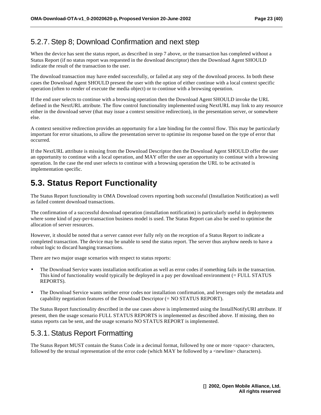#### 5.2.7. Step 8; Download Confirmation and next step

When the device has sent the status report, as described in step 7 above, or the transaction has completed without a Status Report (if no status report was requested in the download descriptor) then the Download Agent SHOULD indicate the result of the transaction to the user.

The download transaction may have ended successfully, or failed at any step of the download process. In both these cases the Download Agent SHOULD present the user with the option of either continue with a local context specific operation (often to render of execute the media object) or to continue with a browsing operation.

If the end user selects to continue with a browsing operation then the Download Agent SHOULD invoke the URL defined in the NextURL attribute. The flow control functionality implemented using NextURL may link to any resource either in the download server (that may issue a context sensitive redirection), in the presentation server, or somewhere else.

A context sensitive redirection provides an opportunity for a late binding for the control flow. This may be particularly important for error situations, to allow the presentation server to optimise its response based on the type of error that occurred.

If the NextURL attribute is missing from the Download Descriptor then the Download Agent SHOULD offer the user an opportunity to continue with a local operation, and MAY offer the user an opportunity to continue with a browsing operation. In the case the end user selects to continue with a browsing operation the URL to be activated is implementation specific.

## **5.3. Status Report Functionality**

The Status Report functionality in OMA Download covers reporting both successful (Installation Notification) as well as failed content download transactions.

The confirmation of a successful download operation (installation notification) is particularly useful in deployments where some kind of pay-per-transaction business model is used. The Status Report can also be used to optimise the allocation of server resources.

However, it should be noted that a server cannot ever fully rely on the reception of a Status Report to indicate a completed transaction. The device may be unable to send the status report. The server thus anyhow needs to have a robust logic to discard hanging transactions.

There are two major usage scenarios with respect to status reports:

- The Download Service wants installation notification as well as error codes if something fails in the transaction. This kind of functionality would typically be deployed in a pay per download environment (= FULL STATUS REPORTS).
- The Download Service wants neither error codes nor installation confirmation, and leverages only the metadata and capability negotiation features of the Download Descriptor (= NO STATUS REPORT).

The Status Report functionality described in the use cases above is implemented using the InstallNotifyURI attribute. If present, then the usage scenario FULL STATUS REPORTS is implemented as described above. If missing, then no status reports can be sent, and the usage scenario NO STATUS REPORT is implemented.

#### 5.3.1. Status Report Formatting

The Status Report MUST contain the Status Code in a decimal format, followed by one or more <space> characters, followed by the textual representation of the error code (which MAY be followed by a <newline> characters).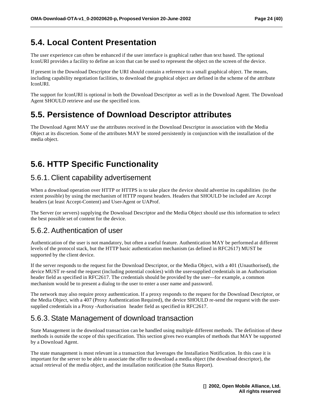## **5.4. Local Content Presentation**

The user experience can often be enhanced if the user interface is graphical rather than text based. The optional IconURI provides a facility to define an icon that can be used to represent the object on the screen of the device.

If present in the Download Descriptor the URI should contain a reference to a small graphical object. The means, including capability negotiation facilities, to download the graphical object are defined in the scheme of the attribute IconURI.

The support for IconURI is optional in both the Download Descriptor as well as in the Download Agent. The Download Agent SHOULD retrieve and use the specified icon.

## **5.5. Persistence of Download Descriptor attributes**

The Download Agent MAY use the attributes received in the Download Descriptor in association with the Media Object at its discretion. Some of the attributes MAY be stored persistently in conjunction with the installation of the media object.

## **5.6. HTTP Specific Functionality**

#### 5.6.1. Client capability advertisement

When a download operation over HTTP or HTTPS is to take place the device should advertise its capabilities (to the extent possible) by using the mechanism of HTTP request headers. Headers that SHOULD be included are Accept headers (at least Accept-Content) and User-Agent or UAProf.

The Server (or servers) supplying the Download Descriptor and the Media Object should use this information to select the best possible set of content for the device.

#### 5.6.2. Authentication of user

Authentication of the user is not mandatory, but often a useful feature. Authentication MAY be performed at different levels of the protocol stack, but the HTTP basic authentication mechanism (as defined in RFC2617) MUST be supported by the client device.

If the server responds to the request for the Download Descriptor, or the Media Object, with a 401 (Unauthorised), the device MUST re-send the request (including potential cookies) with the user-supplied credentials in an Authorisation header field as specified in RFC2617. The credentials should be provided by the user—for example, a common mechanism would be to present a dialog to the user to enter a user name and password.

The network may also require proxy authentication. If a proxy responds to the request for the Download Descriptor, or the Media Object, with a 407 (Proxy Authentication Required), the device SHOULD re-send the request with the usersupplied credentials in a Proxy -Authorisation header field as specified in RFC2617.

### 5.6.3. State Management of download transaction

State Management in the download transaction can be handled using multiple different methods. The definition of these methods is outside the scope of this specification. This section gives two examples of methods that MAY be supported by a Download Agent.

The state management is most relevant in a transaction that leverages the Installation Notification. In this case it is important for the server to be able to associate the offer to download a media object (the download descriptor), the actual retrieval of the media object, and the installation notification (the Status Report).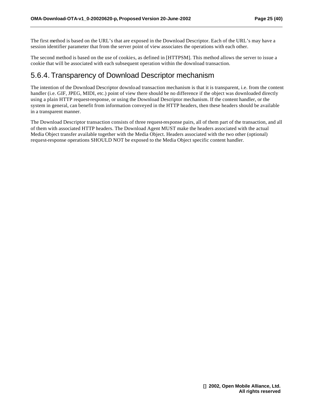The first method is based on the URL's that are exposed in the Download Descriptor. Each of the URL's may have a session identifier parameter that from the server point of view associates the operations with each other.

The second method is based on the use of cookies, as defined in [HTTPSM]. This method allows the server to issue a cookie that will be associated with each subsequent operation within the download transaction.

#### 5.6.4. Transparency of Download Descriptor mechanism

The intention of the Download Descriptor download transaction mechanism is that it is transparent, i.e. from the content handler (i.e. GIF, JPEG, MIDI, etc.) point of view there should be no difference if the object was downloaded directly using a plain HTTP request-response, or using the Download Descriptor mechanism. If the content handler, or the system in general, can benefit from information conveyed in the HTTP headers, then these headers should be available in a transparent manner.

The Download Descriptor transaction consists of three request-response pairs, all of them part of the transaction, and all of them with associated HTTP headers. The Download Agent MUST make the headers associated with the actual Media Object transfer available together with the Media Object. Headers associated with the two other (optional) request-response operations SHOULD NOT be exposed to the Media Object specific content handler.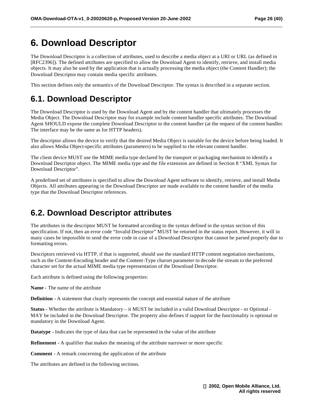## **6. Download Descriptor**

The Download Descriptor is a collection of attributes, used to describe a media object at a URI or URL (as defined in [RFC2396]). The defined attributes are specified to allow the Download Agent to identify, retrieve, and install media objects. It may also be used by the application that is actually processing the media object (the Content Handler); the Download Descriptor may contain media specific attributes.

This section defines only the semantics of the Download Descriptor. The syntax is described in a separate section.

## **6.1. Download Descriptor**

The Download Descriptor is used by the Download Agent and by the content handler that ultimately processes the Media Object. The Download Descriptor may for example include content handler specific attributes. The Download Agent SHOULD expose the complete Download Descriptor to the content handler (at the request of the content handler. The interface may be the same as for HTTP headers).

The descriptor allows the device to verify that the desired Media Object is suitable for the device before being loaded. It also allows Media Object-specific attributes (parameters) to be supplied to the relevant content handler.

The client device MUST use the MIME media type declared by the transport or packaging mechanism to identify a Download Descriptor object. The MIME media type and the file extension are defined in Section 8 "XML Syntax for Download Descriptor".

A predefined set of attributes is specified to allow the Download Agent software to identify, retrieve, and install Media Objects. All attributes appearing in the Download Descriptor are made available to the content handler of the media type that the Download Descriptor references.

## **6.2. Download Descriptor attributes**

The attributes in the descriptor MUST be formatted according to the syntax defined in the syntax section of this specification. If not, then an error code "Invalid Descriptor" MUST be returned in the status report. However, it will in many cases be impossible to send the error code in case of a Download Descriptor that cannot be parsed properly due to formatting errors.

Descriptors retrieved via HTTP, if that is supported, should use the standard HTTP content negotiation mechanisms, such as the Content-Encoding header and the Content-Type charset parameter to decode the stream to the preferred character set for the actual MIME media type representation of the Download Descriptor.

Each attribute is defined using the following properties:

**Name -** The name of the attribute

**Definition -** A statement that clearly represents the concept and essential nature of the attribute

**Status -** Whether the attribute is Mandatory – it MUST be included in a valid Download Descriptor - or Optional - MAY be included in the Download Descriptor. The property also defines if support for the functionality is optional or mandatory in the Download Agent.

**Datatype -** Indicates the type of data that can be represented in the value of the attribute

**Refinement -** A qualifier that makes the meaning of the attribute narrower or more specific

**Comment -** A remark concerning the application of the attribute

The attributes are defined in the following sections.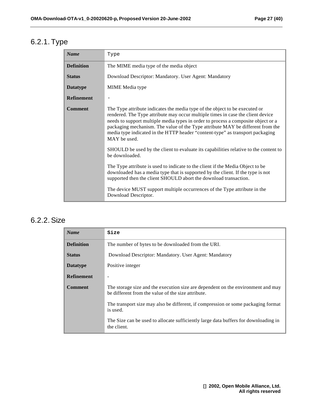## 6.2.1. Type

| <b>Name</b>       | Type                                                                                                                                                                                                                                                                                                                                                                                                                                                                                                                                             |
|-------------------|--------------------------------------------------------------------------------------------------------------------------------------------------------------------------------------------------------------------------------------------------------------------------------------------------------------------------------------------------------------------------------------------------------------------------------------------------------------------------------------------------------------------------------------------------|
| <b>Definition</b> | The MIME media type of the media object                                                                                                                                                                                                                                                                                                                                                                                                                                                                                                          |
| <b>Status</b>     | Download Descriptor: Mandatory. User Agent: Mandatory                                                                                                                                                                                                                                                                                                                                                                                                                                                                                            |
| <b>Datatype</b>   | MIME Media type                                                                                                                                                                                                                                                                                                                                                                                                                                                                                                                                  |
| <b>Refinement</b> |                                                                                                                                                                                                                                                                                                                                                                                                                                                                                                                                                  |
| <b>Comment</b>    | The Type attribute indicates the media type of the object to be executed or<br>rendered. The Type attribute may occur multiple times in case the client device<br>needs to support multiple media types in order to process a composite object or a<br>packaging mechanism. The value of the Type attribute MAY be different from the<br>media type indicated in the HTTP header "content-type" as transport packaging<br>MAY be used.<br>SHOULD be used by the client to evaluate its capabilities relative to the content to<br>be downloaded. |
|                   | The Type attribute is used to indicate to the client if the Media Object to be<br>downloaded has a media type that is supported by the client. If the type is not<br>supported then the client SHOULD abort the download transaction.<br>The device MUST support multiple occurrences of the Type attribute in the<br>Download Descriptor.                                                                                                                                                                                                       |

### 6.2.2. Size

| <b>Name</b>       | Size                                                                                                                                   |  |  |  |  |
|-------------------|----------------------------------------------------------------------------------------------------------------------------------------|--|--|--|--|
| <b>Definition</b> | The number of bytes to be downloaded from the URI.                                                                                     |  |  |  |  |
| <b>Status</b>     | Download Descriptor: Mandatory. User Agent: Mandatory                                                                                  |  |  |  |  |
| <b>Datatype</b>   | Positive integer                                                                                                                       |  |  |  |  |
| <b>Refinement</b> | $\overline{\phantom{a}}$                                                                                                               |  |  |  |  |
| Comment           | The storage size and the execution size are dependent on the environment and may<br>be different from the value of the size attribute. |  |  |  |  |
|                   | The transport size may also be different, if compression or some packaging format<br>is used.                                          |  |  |  |  |
|                   | The Size can be used to allocate sufficiently large data buffers for downloading in<br>the client.                                     |  |  |  |  |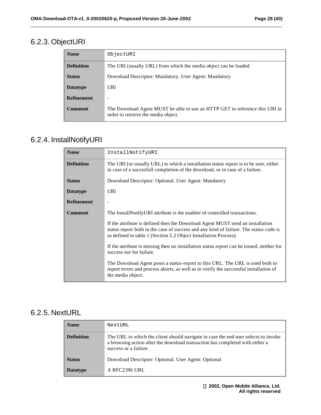## 6.2.3. ObjectURI

| <b>Name</b>       | ObjectURI                                                                                                          |  |  |  |  |
|-------------------|--------------------------------------------------------------------------------------------------------------------|--|--|--|--|
| <b>Definition</b> | The URI (usually URL) from which the media object can be loaded.                                                   |  |  |  |  |
| <b>Status</b>     | Download Descriptor: Mandatory. User Agent: Mandatory                                                              |  |  |  |  |
| <b>Datatype</b>   | URI                                                                                                                |  |  |  |  |
| <b>Refinement</b> |                                                                                                                    |  |  |  |  |
| Comment           | The Download Agent MUST be able to use an HTTP GET to reference this URI in<br>order to retrieve the media object. |  |  |  |  |

## 6.2.4. InstallNotifyURI

| <b>Name</b>       | InstallNotifyURI                                                                                                                                                                                                                           |  |  |  |  |
|-------------------|--------------------------------------------------------------------------------------------------------------------------------------------------------------------------------------------------------------------------------------------|--|--|--|--|
| <b>Definition</b> | The URI (or usually URL) to which a installation status report is to be sent, either<br>in case of a succesfull completion of the download, or in case of a failure.                                                                       |  |  |  |  |
| <b>Status</b>     | Download Descriptor: Optional. User Agent: Mandatory                                                                                                                                                                                       |  |  |  |  |
| <b>Datatype</b>   | URI                                                                                                                                                                                                                                        |  |  |  |  |
| <b>Refinement</b> |                                                                                                                                                                                                                                            |  |  |  |  |
| <b>Comment</b>    | The InstallNotifyURI attribute is the enabler of controlled transactions.                                                                                                                                                                  |  |  |  |  |
|                   | If the attribute is defined then the Download Agent MUST send an installation<br>status report both in the case of success and any kind of failure. The status code is<br>as defined in table 1 (Section 5.2 Object Installation Process). |  |  |  |  |
|                   | If the attribute is missing then no installation status report can be issued, neither for<br>success nor for failure.                                                                                                                      |  |  |  |  |
|                   | The Download Agent posts a status-report to this URL. The URL is used both to<br>report errors and process aborts, as well as to verify the successful installation of<br>the media object.                                                |  |  |  |  |

### 6.2.5. NextURL

| <b>Name</b>       | NextURL                                                                                                                                                                                     |
|-------------------|---------------------------------------------------------------------------------------------------------------------------------------------------------------------------------------------|
| <b>Definition</b> | The URL to which the client should navigate in case the end user selects to invoke<br>a browsing action after the download transaction has completed with either a<br>success or a failure. |
| <b>Status</b>     | Download Descriptor: Optional. User Agent: Optional                                                                                                                                         |
| <b>Datatype</b>   | A RFC2396 URL                                                                                                                                                                               |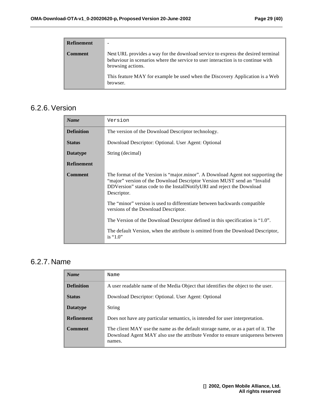| <b>Refinement</b> | -                                                                                                                                                                                                                                                                                     |
|-------------------|---------------------------------------------------------------------------------------------------------------------------------------------------------------------------------------------------------------------------------------------------------------------------------------|
| <b>Comment</b>    | Next URL provides a way for the download service to express the desired terminal<br>behaviour in scenarios where the service to user interaction is to continue with<br>browsing actions.<br>This feature MAY for example be used when the Discovery Application is a Web<br>browser. |

#### 6.2.6. Version

| <b>Name</b>       | Version                                                                                                                                                                                                                                              |  |  |  |  |
|-------------------|------------------------------------------------------------------------------------------------------------------------------------------------------------------------------------------------------------------------------------------------------|--|--|--|--|
| <b>Definition</b> | The version of the Download Descriptor technology.                                                                                                                                                                                                   |  |  |  |  |
| <b>Status</b>     | Download Descriptor: Optional. User Agent: Optional                                                                                                                                                                                                  |  |  |  |  |
| <b>Datatype</b>   | String (decimal)                                                                                                                                                                                                                                     |  |  |  |  |
| <b>Refinement</b> |                                                                                                                                                                                                                                                      |  |  |  |  |
| <b>Comment</b>    | The format of the Version is "major.minor". A Download Agent not supporting the<br>"major" version of the Download Descriptor Version MUST send an "Invalid<br>DDVersion" status code to the InstallNotifyURI and reject the Download<br>Descriptor. |  |  |  |  |
|                   | The "minor" version is used to differentiate between backwards compatible<br>versions of the Download Descriptor.                                                                                                                                    |  |  |  |  |
|                   | The Version of the Download Descriptor defined in this specification is "1.0".                                                                                                                                                                       |  |  |  |  |
|                   | The default Version, when the attribute is omitted from the Download Descriptor,<br>is " $1.0$ "                                                                                                                                                     |  |  |  |  |

### 6.2.7. Name

| <b>Name</b>       | Name                                                                                                                                                                        |  |  |  |  |
|-------------------|-----------------------------------------------------------------------------------------------------------------------------------------------------------------------------|--|--|--|--|
| <b>Definition</b> | A user readable name of the Media Object that identifies the object to the user.                                                                                            |  |  |  |  |
| <b>Status</b>     | Download Descriptor: Optional. User Agent: Optional                                                                                                                         |  |  |  |  |
| <b>Datatype</b>   | String                                                                                                                                                                      |  |  |  |  |
| <b>Refinement</b> | Does not have any particular semantics, is intended for user interpretation.                                                                                                |  |  |  |  |
| <b>Comment</b>    | The client MAY use the name as the default storage name, or as a part of it. The<br>Download Agent MAY also use the attribute Vendor to ensure uniqueness between<br>names. |  |  |  |  |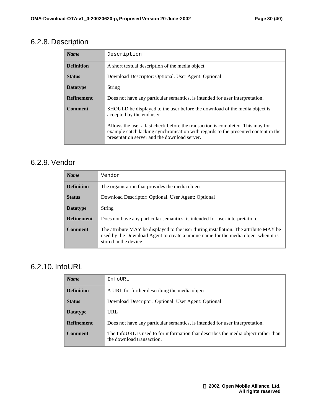## 6.2.8. Description

| <b>Name</b>       | Description                                                                                                                                                                                                          |  |  |  |  |
|-------------------|----------------------------------------------------------------------------------------------------------------------------------------------------------------------------------------------------------------------|--|--|--|--|
| <b>Definition</b> | A short textual description of the media object                                                                                                                                                                      |  |  |  |  |
| <b>Status</b>     | Download Descriptor: Optional. User Agent: Optional                                                                                                                                                                  |  |  |  |  |
| <b>Datatype</b>   | String                                                                                                                                                                                                               |  |  |  |  |
| <b>Refinement</b> | Does not have any particular semantics, is intended for user interpretation.                                                                                                                                         |  |  |  |  |
| <b>Comment</b>    | SHOULD be displayed to the user before the download of the media object is<br>accepted by the end user.                                                                                                              |  |  |  |  |
|                   | Allows the user a last check before the transaction is completed. This may for<br>example catch lacking synchronisation with regards to the presented content in the<br>presentation server and the download server. |  |  |  |  |

#### 6.2.9. Vendor

| <b>Name</b>       | Vendor                                                                                                                                                                                              |  |  |  |  |
|-------------------|-----------------------------------------------------------------------------------------------------------------------------------------------------------------------------------------------------|--|--|--|--|
| <b>Definition</b> | The organis ation that provides the media object                                                                                                                                                    |  |  |  |  |
| <b>Status</b>     | Download Descriptor: Optional. User Agent: Optional                                                                                                                                                 |  |  |  |  |
| <b>Datatype</b>   | <b>String</b>                                                                                                                                                                                       |  |  |  |  |
| <b>Refinement</b> | Does not have any particular semantics, is intended for user interpretation.                                                                                                                        |  |  |  |  |
| <b>Comment</b>    | The attribute MAY be displayed to the user during installation. The attribute MAY be<br>used by the Download Agent to create a unique name for the media object when it is<br>stored in the device. |  |  |  |  |

### 6.2.10. InfoURL

| <b>Name</b>       | InfoURL                                                                                                         |  |  |  |  |
|-------------------|-----------------------------------------------------------------------------------------------------------------|--|--|--|--|
| <b>Definition</b> | A URL for further describing the media object                                                                   |  |  |  |  |
| <b>Status</b>     | Download Descriptor: Optional. User Agent: Optional                                                             |  |  |  |  |
| <b>Datatype</b>   | URL.                                                                                                            |  |  |  |  |
| <b>Refinement</b> | Does not have any particular semantics, is intended for user interpretation.                                    |  |  |  |  |
| Comment           | The InfoURL is used to for information that describes the media object rather than<br>the download transaction. |  |  |  |  |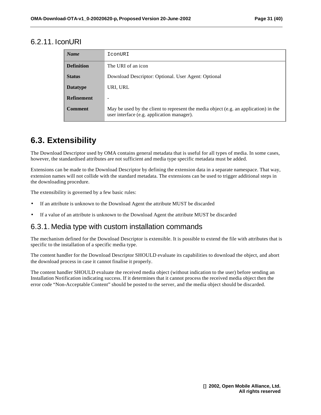#### 6.2.11. IconURI

| <b>Name</b>       | IconURI                                                                                                                            |  |  |  |  |
|-------------------|------------------------------------------------------------------------------------------------------------------------------------|--|--|--|--|
| <b>Definition</b> | The URI of an icon                                                                                                                 |  |  |  |  |
| <b>Status</b>     | Download Descriptor: Optional. User Agent: Optional                                                                                |  |  |  |  |
| <b>Datatype</b>   | URI, URL                                                                                                                           |  |  |  |  |
| <b>Refinement</b> |                                                                                                                                    |  |  |  |  |
| <b>Comment</b>    | May be used by the client to represent the media object (e.g. an application) in the<br>user interface (e.g. application manager). |  |  |  |  |

## **6.3. Extensibility**

The Download Descriptor used by OMA contains general metadata that is useful for all types of media. In some cases, however, the standardised attributes are not sufficient and media type specific metadata must be added.

Extensions can be made to the Download Descriptor by defining the extension data in a separate namespace. That way, extension names will not collide with the standard metadata. The extensions can be used to trigger additional steps in the downloading procedure.

The extensibility is governed by a few basic rules:

- If an attribute is unknown to the Download Agent the attribute MUST be discarded
- If a value of an attribute is unknown to the Download Agent the attribute MUST be discarded

#### 6.3.1. Media type with custom installation commands

The mechanism defined for the Download Descriptor is extensible. It is possible to extend the file with attributes that is specific to the installation of a specific media type.

The content handler for the Download Descriptor SHOULD evaluate its capabilities to download the object, and abort the download process in case it cannot finalise it properly.

The content handler SHOULD evaluate the received media object (without indication to the user) before sending an Installation Notification indicating success. If it determines that it cannot process the received media object then the error code "Non-Acceptable Content" should be posted to the server, and the media object should be discarded.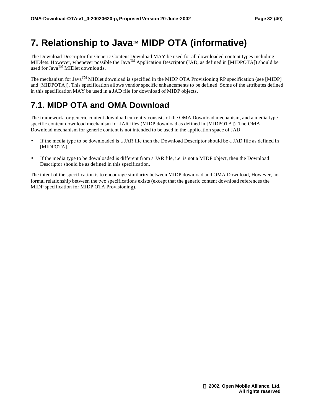## **7.** Relationship to Java™ MIDP OTA (informative)

The Download Descriptor for Generic Content Download MAY be used for all downloaded content types including MIDlets. However, whenever possible the Java<sup>TM</sup> Application Descriptor (JAD, as defined in [MIDPOTA]) should be used for Java<sup>TM</sup> MIDlet downloads.

The mechanism for Java<sup>TM</sup> MIDlet download is specified in the MIDP OTA Provisioning RP specification (see [MIDP] and [MIDPOTA]). This specification allows vendor specific enhancements to be defined. Some of the attributes defined in this specification MAY be used in a JAD file for download of MIDP objects.

## **7.1. MIDP OTA and OMA Download**

The framework for generic content download currently consists of the OMA Download mechanism, and a media type specific content download mechanism for JAR files (MIDP download as defined in [MIDPOTA]). The OMA Download mechanism for generic content is not intended to be used in the application space of JAD.

- If the media type to be downloaded is a JAR file then the Download Descriptor should be a JAD file as defined in [MIDPOTA].
- If the media type to be downloaded is different from a JAR file, i.e. is not a MIDP object, then the Download Descriptor should be as defined in this specification.

The intent of the specification is to encourage similarity between MIDP download and OMA Download, However, no formal relationship between the two specifications exists (except that the generic content download references the MIDP specification for MIDP OTA Provisioning).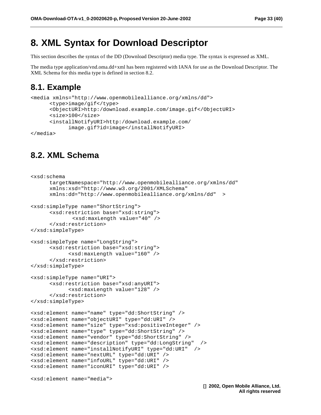### **8. XML Syntax for Download Descriptor**

This section describes the syntax of the DD (Download Descriptor) media type. The syntax is expressed as XML.

The media type application/vnd.oma.dd+xml has been registered with IANA for use as the Download Descriptor. The XML Schema for this media type is defined in section 8.2.

#### **8.1. Example**

```
<media xmlns="http://www.openmobilealliance.org/xmlns/dd"> 
       <type>image/gif</type> 
       <ObjectURI>http:/download.example.com/image.gif</ObjectURI> 
       <size>100</size> 
       <installNotifyURI>http:/download.example.com/
             image.gif?id=image</installNotifyURI> 
</media>
```
### **8.2. XML Schema**

```
<xsd:schema 
       targetNamespace="http://www.openmobilealliance.org/xmlns/dd" 
       xmlns:xsd="http://www.w3.org/2001/XMLSchema" 
       xmlns:dd="http://www.openmobilealliance.org/xmlns/dd" >
<xsd:simpleType name="ShortString">
       <xsd:restriction base="xsd:string">
              <xsd:maxLength value="40" />
       </xsd:restriction>
</xsd:simpleType>
<xsd:simpleType name="LongString">
       <xsd:restriction base="xsd:string">
             <xsd:maxLength value="160" />
       </xsd:restriction>
</xsd:simpleType>
<xsd:simpleType name="URI">
       <xsd:restriction base="xsd:anyURI">
             <xsd:maxLength value="128" />
       </xsd:restriction>
</xsd:simpleType>
<xsd:element name="name" type="dd:ShortString" />
<xsd:element name="objectURI" type="dd:URI" />
<xsd:element name="size" type="xsd:positiveInteger" />
<xsd:element name="type" type="dd:ShortString" />
<xsd:element name="vendor" type="dd:ShortString" />
<xsd:element name="description" type="dd:LongString" />
<xsd:element name="installNotifyURI" type="dd:URI" />
<xsd:element name="nextURL" type="dd:URI" />
<xsd:element name="infoURL" type="dd:URI" />
<xsd:element name="iconURI" type="dd:URI" />
<xsd:element name="media">
```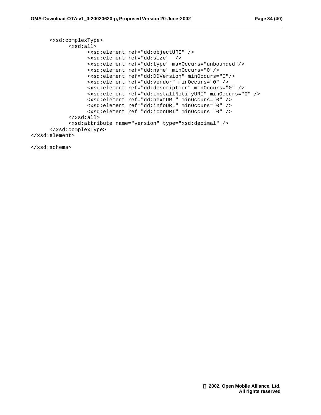```
 <xsd:complexType>
             <xsd:all>
                   <xsd:element ref="dd:objectURI" />
                   <xsd:element ref="dd:size" />
                   <xsd:element ref="dd:type" maxOccurs="unbounded"/>
                   <xsd:element ref="dd:name" minOccurs="0"/> 
                   <xsd:element ref="dd:DDVersion" minOccurs="0"/> 
                   <xsd:element ref="dd:vendor" minOccurs="0" />
                   <xsd:element ref="dd:description" minOccurs="0" />
                   <xsd:element ref="dd:installNotifyURI" minOccurs="0" />
                   <xsd:element ref="dd:nextURL" minOccurs="0" />
                   <xsd:element ref="dd:infoURL" minOccurs="0" />
                   <xsd:element ref="dd:iconURI" minOccurs="0" />
             </xsd:all>
             <xsd:attribute name="version" type="xsd:decimal" />
       </xsd:complexType>
</xsd:element>
```
</xsd:schema>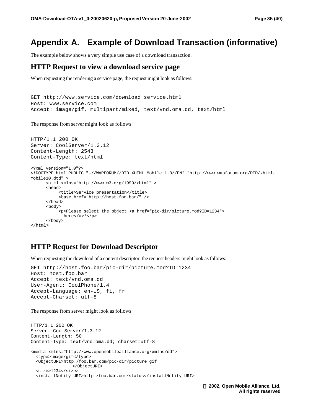### **Appendix A. Example of Download Transaction (informative)**

The example below shows a very simple use case of a download transaction.

#### **HTTP Request to view a download service page**

When requesting the rendering a service page, the request might look as follows:

```
GET http://www.service.com/download_service.html
Host: www.service.com
Accept: image/gif, multipart/mixed, text/vnd.oma.dd, text/html
```
The response from server might look as follows:

```
HTTP/1.1 200 OK
Server: CoolServer/1.3.12
Content-Length: 2543
Content-Type: text/html
<?xml version="1.0"?>
<!DOCTYPE html PUBLIC "-//WAPFORUM//DTD XHTML Mobile 1.0//EN" "http://www.wapforum.org/DTD/xhtml-
mobile10.dtd" >
       <html xmlns="http://www.w3.org/1999/xhtml" >
       <head>
           <title>Service presentation</title>
            <base href="http://host.foo.bar/" />
       </head>
       <body>
            <p>Please select the object <a href="pic-dir/picture.mod?ID=1234">
             here</a>!</p>
       </body>
</html>
```
#### **HTTP Request for Download Descriptor**

When requesting the download of a content descriptor, the request headers might look as follows:

```
GET http://host.foo.bar/pic-dir/picture.mod?ID=1234 
Host: host.foo.bar
Accept: text/vnd.oma.dd
User-Agent: CoolPhone/1.4 
Accept-Language: en-US, fi, fr
Accept-Charset: utf-8
```
The response from server might look as follows:

```
HTTP/1.1 200 OK
Server: CoolServer/1.3.12
Content-Length: 50
Content-Type: text/vnd.oma.dd; charset=utf-8
<media xmlns="http://www.openmobilealliance.org/xmlns/dd"> 
   <type>image/gif</type> 
   <ObjectURI>http:/foo.bar.com/pic-dir/picture.gif 
                 </ObjectURI> 
   <size>1234</size> 
   <installNotify-URI>http:/foo.bar.com/status</installNotify-URI>
```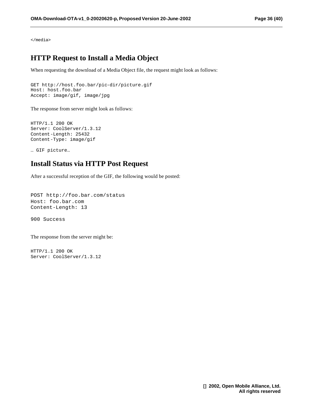</media>

#### **HTTP Request to Install a Media Object**

When requesting the download of a Media Object file, the request might look as follows:

```
GET http://host.foo.bar/pic-dir/picture.gif
Host: host.foo.bar
Accept: image/gif, image/jpg
```
The response from server might look as follows:

HTTP/1.1 200 OK Server: CoolServer/1.3.12 Content-Length: 25432 Content-Type: image/gif

… GIF picture…

#### **Install Status via HTTP Post Request**

After a successful reception of the GIF, the following would be posted:

```
POST http://foo.bar.com/status
Host: foo.bar.com
Content-Length: 13
```
900 Success

The response from the server might be:

HTTP/1.1 200 OK Server: CoolServer/1.3.12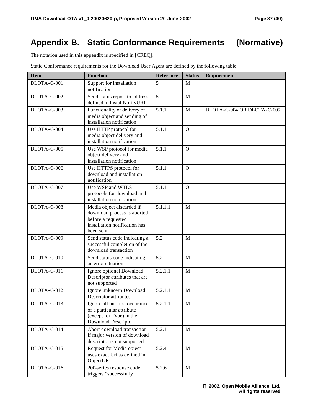## **Appendix B. Static Conformance Requirements (Normative)**

The notation used in this appendix is specified in [CREQ].

Static Conformance requirements for the Download User Agent are defined by the following table.

| <b>Item</b> | <b>Function</b>                                                                                                              | Reference | <b>Status</b> | Requirement                |
|-------------|------------------------------------------------------------------------------------------------------------------------------|-----------|---------------|----------------------------|
| DLOTA-C-001 | Support for installation<br>notification                                                                                     | 5         | M             |                            |
| DLOTA-C-002 | Send status report to address<br>defined in InstallNotifyURI                                                                 | 5         | M             |                            |
| DLOTA-C-003 | Functionality of delivery of<br>media object and sending of<br>installation notification                                     | 5.1.1     | M             | DLOTA-C-004 OR DLOTA-C-005 |
| DLOTA-C-004 | Use HTTP protocol for<br>media object delivery and<br>installation notification                                              | 5.1.1     | $\Omega$      |                            |
| DLOTA-C-005 | Use WSP protocol for media<br>object delivery and<br>installation notification                                               | 5.1.1     | $\Omega$      |                            |
| DLOTA-C-006 | Use HTTPS protocol for<br>download and installation<br>notification                                                          | 5.1.1     | $\Omega$      |                            |
| DLOTA-C-007 | Use WSP and WTLS<br>protocols for download and<br>installation notification                                                  | 5.1.1     | $\Omega$      |                            |
| DLOTA-C-008 | Media object discarded if<br>download process is aborted<br>before a requested<br>installation notification has<br>been sent | 5.1.1.1   | M             |                            |
| DLOTA-C-009 | Send status code indicating a<br>successful completion of the<br>download transaction                                        | 5.2       | M             |                            |
| DLOTA-C-010 | Send status code indicating<br>an error situation                                                                            | 5.2       | M             |                            |
| DLOTA-C-011 | Ignore optional Download<br>Descriptor attributes that are<br>not supported                                                  | 5.2.1.1   | M             |                            |
| DLOTA-C-012 | Ignore unknown Download<br>Descriptor attributes                                                                             | 5.2.1.1   | M             |                            |
| DLOTA-C-013 | Ignore all but first occurance<br>of a particular attribute<br>(except for Type) in the<br>Download Descriptor               | 5.2.1.1   | M             |                            |
| DLOTA-C-014 | Abort download transaction<br>if major version of download<br>descriptor is not supported                                    | 5.2.1     | $\mathbf M$   |                            |
| DLOTA-C-015 | Request for Media object<br>uses exact Uri as defined in<br>ObjectURI                                                        | 5.2.4     | $\mathbf M$   |                            |
| DLOTA-C-016 | 200-series response code<br>triggers "successfully                                                                           | 5.2.6     | M             |                            |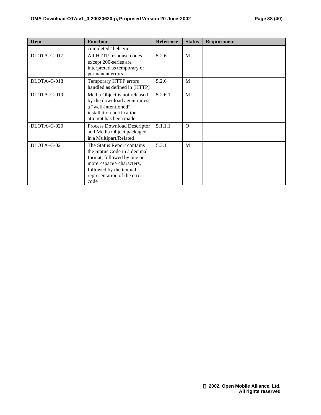| <b>Item</b> | <b>Function</b>                                                                                                                                                                                   | <b>Reference</b> | <b>Status</b> | Requirement |
|-------------|---------------------------------------------------------------------------------------------------------------------------------------------------------------------------------------------------|------------------|---------------|-------------|
|             | completed" behavior                                                                                                                                                                               |                  |               |             |
| DLOTA-C-017 | All HTTP response codes<br>except 200-series are<br>interpreted as temporary or<br>permanent errors                                                                                               | 5.2.6            | M             |             |
| DLOTA-C-018 | Temporary HTTP errors<br>handled as defined in [HTTP]                                                                                                                                             | 5.2.6            | M             |             |
| DLOTA-C-019 | Media Object is not released<br>by the download agent unless<br>a "well-intentioned"<br>installation notification<br>attempt has been made.                                                       | 5.2.6.1          | M             |             |
| DLOTA-C-020 | Process Download Descriptor<br>and Media Object packaged<br>in a Multipart/Related                                                                                                                | 5.1.1.1          | $\Omega$      |             |
| DLOTA-C-021 | The Status Report contains<br>the Status Code in a decimal<br>format, followed by one or<br>more <space> characters,<br/>followed by the textual<br/>representation of the error<br/>code</space> | 5.3.1            | M             |             |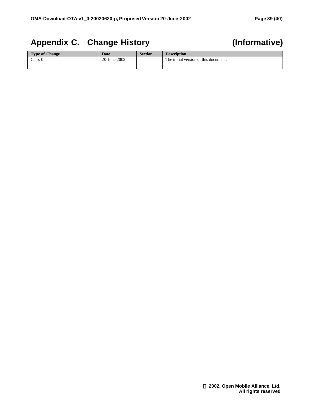## **Appendix C. Change History (Informative)**

| <b>Type of Change</b> | Date         | <b>Section</b> | <b>Description</b>                    |
|-----------------------|--------------|----------------|---------------------------------------|
| Class <sub>0</sub>    | 20-June-2002 |                | The initial version of this document. |
|                       |              |                |                                       |